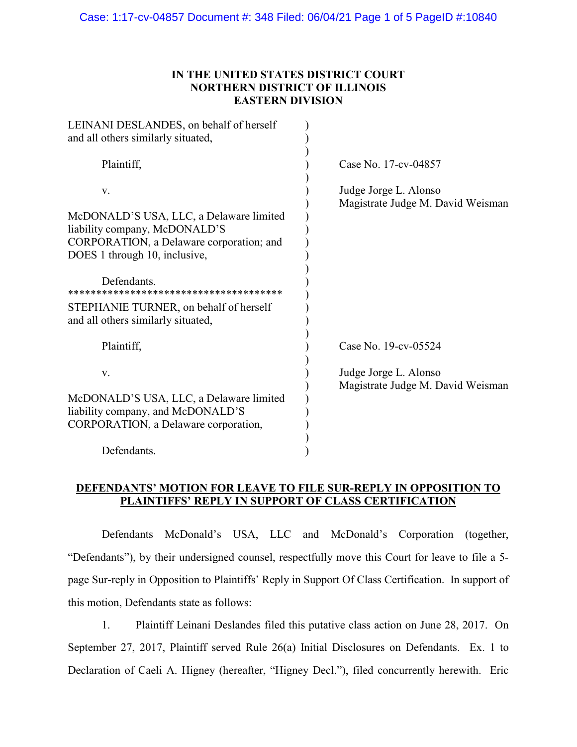# **IN THE UNITED STATES DISTRICT COURT NORTHERN DISTRICT OF ILLINOIS EASTERN DIVISION**

| LEINANI DESLANDES, on behalf of herself<br>and all others similarly situated,                                        |                                                            |
|----------------------------------------------------------------------------------------------------------------------|------------------------------------------------------------|
| Plaintiff,                                                                                                           | Case No. 17-cv-04857                                       |
| V.<br>McDONALD'S USA, LLC, a Delaware limited                                                                        | Judge Jorge L. Alonso<br>Magistrate Judge M. David Weisman |
| liability company, McDONALD'S<br>CORPORATION, a Delaware corporation; and                                            |                                                            |
| DOES 1 through 10, inclusive,                                                                                        |                                                            |
| Defendants.                                                                                                          |                                                            |
| STEPHANIE TURNER, on behalf of herself<br>and all others similarly situated,                                         |                                                            |
| Plaintiff,                                                                                                           | Case No. 19-cv-05524                                       |
| V.                                                                                                                   | Judge Jorge L. Alonso<br>Magistrate Judge M. David Weisman |
| McDONALD'S USA, LLC, a Delaware limited<br>liability company, and McDONALD'S<br>CORPORATION, a Delaware corporation, |                                                            |
| Defendants.                                                                                                          |                                                            |

# **DEFENDANTS' MOTION FOR LEAVE TO FILE SUR-REPLY IN OPPOSITION TO PLAINTIFFS' REPLY IN SUPPORT OF CLASS CERTIFICATION**

Defendants McDonald's USA, LLC and McDonald's Corporation (together, "Defendants"), by their undersigned counsel, respectfully move this Court for leave to file a 5 page Sur-reply in Opposition to Plaintiffs' Reply in Support Of Class Certification. In support of this motion, Defendants state as follows:

1. Plaintiff Leinani Deslandes filed this putative class action on June 28, 2017. On September 27, 2017, Plaintiff served Rule 26(a) Initial Disclosures on Defendants. Ex. 1 to Declaration of Caeli A. Higney (hereafter, "Higney Decl."), filed concurrently herewith. Eric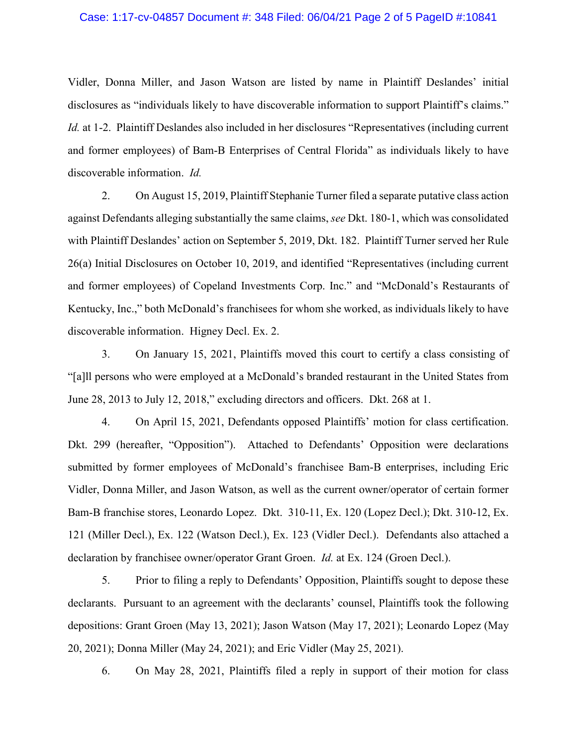#### Case: 1:17-cv-04857 Document #: 348 Filed: 06/04/21 Page 2 of 5 PageID #:10841

Vidler, Donna Miller, and Jason Watson are listed by name in Plaintiff Deslandes' initial disclosures as "individuals likely to have discoverable information to support Plaintiff's claims." *Id.* at 1-2. Plaintiff Deslandes also included in her disclosures "Representatives (including current and former employees) of Bam-B Enterprises of Central Florida" as individuals likely to have discoverable information. *Id.*

2. On August 15, 2019, Plaintiff Stephanie Turner filed a separate putative class action against Defendants alleging substantially the same claims, *see* Dkt. 180-1, which was consolidated with Plaintiff Deslandes' action on September 5, 2019, Dkt. 182. Plaintiff Turner served her Rule 26(a) Initial Disclosures on October 10, 2019, and identified "Representatives (including current and former employees) of Copeland Investments Corp. Inc." and "McDonald's Restaurants of Kentucky, Inc.," both McDonald's franchisees for whom she worked, as individuals likely to have discoverable information. Higney Decl. Ex. 2.

3. On January 15, 2021, Plaintiffs moved this court to certify a class consisting of "[a]ll persons who were employed at a McDonald's branded restaurant in the United States from June 28, 2013 to July 12, 2018," excluding directors and officers. Dkt. 268 at 1.

4. On April 15, 2021, Defendants opposed Plaintiffs' motion for class certification. Dkt. 299 (hereafter, "Opposition"). Attached to Defendants' Opposition were declarations submitted by former employees of McDonald's franchisee Bam-B enterprises, including Eric Vidler, Donna Miller, and Jason Watson, as well as the current owner/operator of certain former Bam-B franchise stores, Leonardo Lopez. Dkt. 310-11, Ex. 120 (Lopez Decl.); Dkt. 310-12, Ex. 121 (Miller Decl.), Ex. 122 (Watson Decl.), Ex. 123 (Vidler Decl.). Defendants also attached a declaration by franchisee owner/operator Grant Groen. *Id.* at Ex. 124 (Groen Decl.).

5. Prior to filing a reply to Defendants' Opposition, Plaintiffs sought to depose these declarants. Pursuant to an agreement with the declarants' counsel, Plaintiffs took the following depositions: Grant Groen (May 13, 2021); Jason Watson (May 17, 2021); Leonardo Lopez (May 20, 2021); Donna Miller (May 24, 2021); and Eric Vidler (May 25, 2021).

6. On May 28, 2021, Plaintiffs filed a reply in support of their motion for class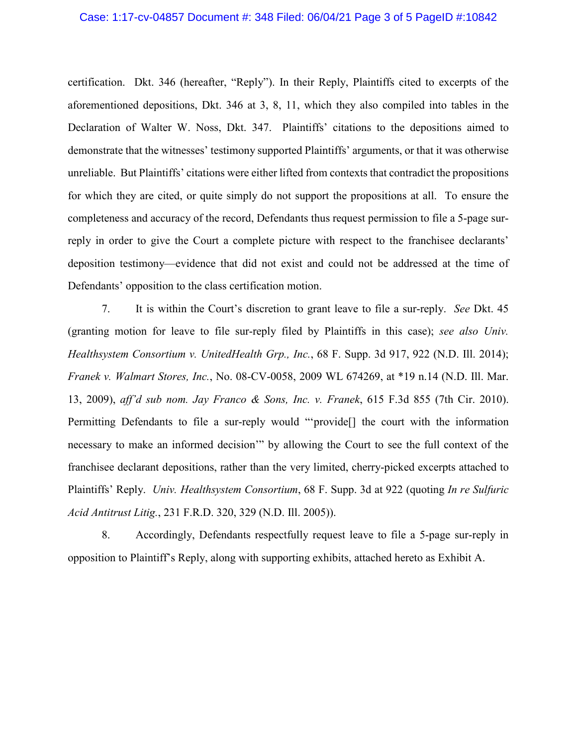#### Case: 1:17-cv-04857 Document #: 348 Filed: 06/04/21 Page 3 of 5 PageID #:10842

certification. Dkt. 346 (hereafter, "Reply"). In their Reply, Plaintiffs cited to excerpts of the aforementioned depositions, Dkt. 346 at 3, 8, 11, which they also compiled into tables in the Declaration of Walter W. Noss, Dkt. 347. Plaintiffs' citations to the depositions aimed to demonstrate that the witnesses' testimony supported Plaintiffs' arguments, or that it was otherwise unreliable. But Plaintiffs' citations were either lifted from contexts that contradict the propositions for which they are cited, or quite simply do not support the propositions at all. To ensure the completeness and accuracy of the record, Defendants thus request permission to file a 5-page surreply in order to give the Court a complete picture with respect to the franchisee declarants' deposition testimony—evidence that did not exist and could not be addressed at the time of Defendants' opposition to the class certification motion.

7. It is within the Court's discretion to grant leave to file a sur-reply. *See* Dkt. 45 (granting motion for leave to file sur-reply filed by Plaintiffs in this case); *see also Univ. Healthsystem Consortium v. UnitedHealth Grp., Inc.*, 68 F. Supp. 3d 917, 922 (N.D. Ill. 2014); *Franek v. Walmart Stores, Inc.*, No. 08-CV-0058, 2009 WL 674269, at \*19 n.14 (N.D. Ill. Mar. 13, 2009), *aff'd sub nom. Jay Franco & Sons, Inc. v. Franek*, 615 F.3d 855 (7th Cir. 2010). Permitting Defendants to file a sur-reply would "'provide[] the court with the information necessary to make an informed decision'" by allowing the Court to see the full context of the franchisee declarant depositions, rather than the very limited, cherry-picked excerpts attached to Plaintiffs' Reply. *Univ. Healthsystem Consortium*, 68 F. Supp. 3d at 922 (quoting *In re Sulfuric Acid Antitrust Litig.*, 231 F.R.D. 320, 329 (N.D. Ill. 2005)).

8. Accordingly, Defendants respectfully request leave to file a 5-page sur-reply in opposition to Plaintiff's Reply, along with supporting exhibits, attached hereto as Exhibit A.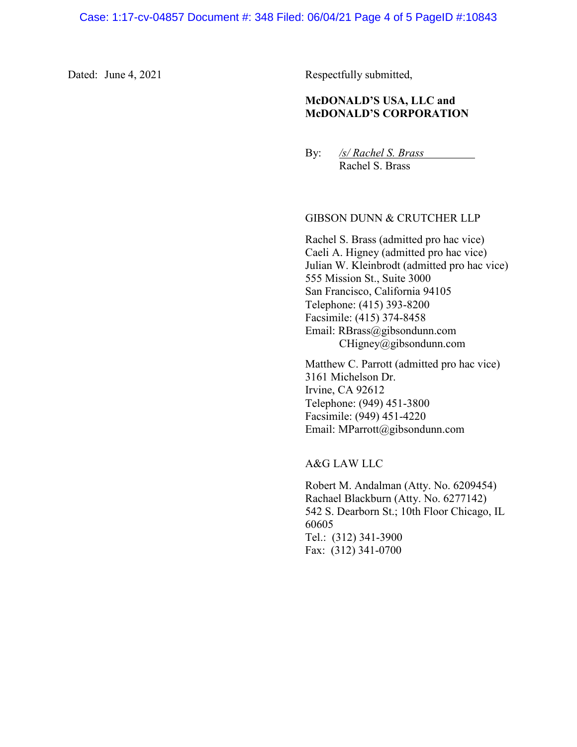Dated: June 4, 2021 Respectfully submitted,

# **McDONALD'S USA, LLC and McDONALD'S CORPORATION**

By: */s/ Rachel S. Brass*

Rachel S. Brass

### GIBSON DUNN & CRUTCHER LLP

Rachel S. Brass (admitted pro hac vice) Caeli A. Higney (admitted pro hac vice) Julian W. Kleinbrodt (admitted pro hac vice) 555 Mission St., Suite 3000 San Francisco, California 94105 Telephone: (415) 393-8200 Facsimile: (415) 374-8458 Email: RBrass@gibsondunn.com CHigney@gibsondunn.com

Matthew C. Parrott (admitted pro hac vice) 3161 Michelson Dr. Irvine, CA 92612 Telephone: (949) 451-3800 Facsimile: (949) 451-4220 Email: MParrott@gibsondunn.com

A&G LAW LLC

Robert M. Andalman (Atty. No. 6209454) Rachael Blackburn (Atty. No. 6277142) 542 S. Dearborn St.; 10th Floor Chicago, IL 60605 Tel.: (312) 341-3900 Fax: (312) 341-0700